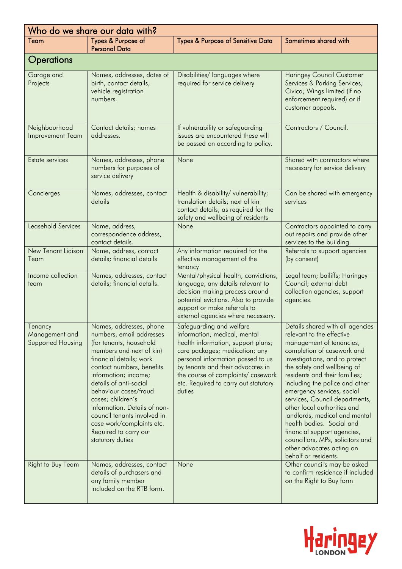| Who do we share our data with?                 |                                                                                                                                                                                                                                                                                                                                                                                                             |                                                                                                                                                                                                                                                                                                    |                                                                                                                                                                                                                                                                                                                                                                                                                                                                                                                                                  |
|------------------------------------------------|-------------------------------------------------------------------------------------------------------------------------------------------------------------------------------------------------------------------------------------------------------------------------------------------------------------------------------------------------------------------------------------------------------------|----------------------------------------------------------------------------------------------------------------------------------------------------------------------------------------------------------------------------------------------------------------------------------------------------|--------------------------------------------------------------------------------------------------------------------------------------------------------------------------------------------------------------------------------------------------------------------------------------------------------------------------------------------------------------------------------------------------------------------------------------------------------------------------------------------------------------------------------------------------|
| Team                                           | Types & Purpose of<br><b>Personal Data</b>                                                                                                                                                                                                                                                                                                                                                                  | <b>Types &amp; Purpose of Sensitive Data</b>                                                                                                                                                                                                                                                       | Sometimes shared with                                                                                                                                                                                                                                                                                                                                                                                                                                                                                                                            |
| <b>Operations</b>                              |                                                                                                                                                                                                                                                                                                                                                                                                             |                                                                                                                                                                                                                                                                                                    |                                                                                                                                                                                                                                                                                                                                                                                                                                                                                                                                                  |
| Garage and<br>Projects                         | Names, addresses, dates of<br>birth, contact details,<br>vehicle registration<br>numbers.                                                                                                                                                                                                                                                                                                                   | Disabilities/ languages where<br>required for service delivery                                                                                                                                                                                                                                     | <b>Haringey Council Customer</b><br>Services & Parking Services;<br>Civica; Wings limited (if no<br>enforcement required) or if<br>customer appeals.                                                                                                                                                                                                                                                                                                                                                                                             |
| Neighbourhood<br>Improvement Team              | Contact details; names<br>addresses.                                                                                                                                                                                                                                                                                                                                                                        | If vulnerability or safeguarding<br>issues are encountered these will<br>be passed on according to policy.                                                                                                                                                                                         | Contractors / Council.                                                                                                                                                                                                                                                                                                                                                                                                                                                                                                                           |
| Estate services                                | Names, addresses, phone<br>numbers for purposes of<br>service delivery                                                                                                                                                                                                                                                                                                                                      | None                                                                                                                                                                                                                                                                                               | Shared with contractors where<br>necessary for service delivery                                                                                                                                                                                                                                                                                                                                                                                                                                                                                  |
| Concierges                                     | Names, addresses, contact<br>details                                                                                                                                                                                                                                                                                                                                                                        | Health & disability/vulnerability;<br>translation details; next of kin<br>contact details; as required for the<br>safety and wellbeing of residents                                                                                                                                                | Can be shared with emergency<br>services                                                                                                                                                                                                                                                                                                                                                                                                                                                                                                         |
| Leasehold Services                             | Name, address,<br>correspondence address,<br>contact details.                                                                                                                                                                                                                                                                                                                                               | None                                                                                                                                                                                                                                                                                               | Contractors appointed to carry<br>out repairs and provide other<br>services to the building.                                                                                                                                                                                                                                                                                                                                                                                                                                                     |
| <b>New Tenant Liaison</b><br>Team              | Name, address, contact<br>details; financial details                                                                                                                                                                                                                                                                                                                                                        | Any information required for the<br>effective management of the<br>tenancy                                                                                                                                                                                                                         | Referrals to support agencies<br>(by consent)                                                                                                                                                                                                                                                                                                                                                                                                                                                                                                    |
| Income collection<br>team                      | Names, addresses, contact<br>details; financial details.                                                                                                                                                                                                                                                                                                                                                    | Mental/physical health, convictions,<br>language, any details relevant to<br>decision making process around<br>potential evictions. Also to provide<br>support or make referrals to<br>external agencies where necessary.                                                                          | Legal team; bailiffs; Haringey<br>Council; external debt<br>collection agencies, support<br>agencies.                                                                                                                                                                                                                                                                                                                                                                                                                                            |
| Tenancy<br>Management and<br>Supported Housing | Names, addresses, phone<br>numbers, email addresses<br>(for tenants, household<br>members and next of kin)<br>financial details; work<br>contact numbers, benefits<br>information; income;<br>details of anti-social<br>behaviour cases/fraud<br>cases; children's<br>information. Details of non-<br>council tenants involved in<br>case work/complaints etc.<br>Required to carry out<br>statutory duties | Safeguarding and welfare<br>information; medical, mental<br>health information, support plans;<br>care packages; medication; any<br>personal information passed to us<br>by tenants and their advocates in<br>the course of complaints/ casework<br>etc. Required to carry out statutory<br>duties | Details shared with all agencies<br>relevant to the effective<br>management of tenancies,<br>completion of casework and<br>investigations, and to protect<br>the safety and wellbeing of<br>residents and their families;<br>including the police and other<br>emergency services, social<br>services, Council departments,<br>other local authorities and<br>landlords, medical and mental<br>health bodies. Social and<br>financial support agencies,<br>councillors, MPs, solicitors and<br>other advocates acting on<br>behalf or residents. |
| <b>Right to Buy Team</b>                       | Names, addresses, contact<br>details of purchasers and<br>any family member<br>included on the RTB form.                                                                                                                                                                                                                                                                                                    | None                                                                                                                                                                                                                                                                                               | Other council's may be asked<br>to confirm residence if included<br>on the Right to Buy form                                                                                                                                                                                                                                                                                                                                                                                                                                                     |

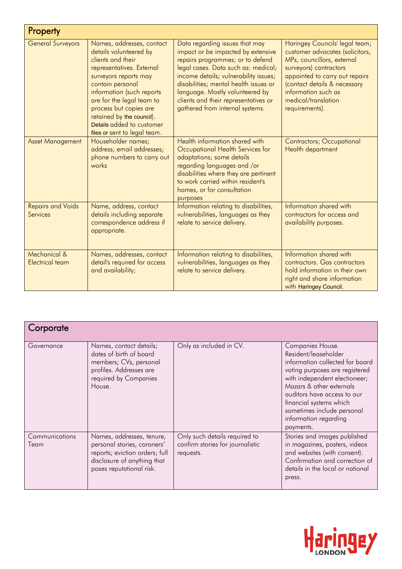| Property                                    |                                                                                                                                                                                                                                                                                                                                  |                                                                                                                                                                                                                                                                                                                                                 |                                                                                                                                                                                                                                                             |  |
|---------------------------------------------|----------------------------------------------------------------------------------------------------------------------------------------------------------------------------------------------------------------------------------------------------------------------------------------------------------------------------------|-------------------------------------------------------------------------------------------------------------------------------------------------------------------------------------------------------------------------------------------------------------------------------------------------------------------------------------------------|-------------------------------------------------------------------------------------------------------------------------------------------------------------------------------------------------------------------------------------------------------------|--|
| <b>General Surveyors</b>                    | Names, addresses, contact<br>details volunteered by<br>clients and their<br>representatives. External<br>surveyors reports may<br>contain personal<br>information (such reports<br>are for the legal team to<br>process but copies are<br>retained by the council).<br>Details added to customer<br>files or sent to legal team. | Data regarding issues that may<br>impact or be impacted by extensive<br>repairs programmes; or to defend<br>legal cases. Data such as: medical;<br>income details; vulnerability issues;<br>disabilities; mental health issues or<br>language. Mostly volunteered by<br>clients and their representatives or<br>gathered from internal systems. | Haringey Councils' legal team;<br>customer advocates (solicitors,<br>MPs, councillors, external<br>surveyors) contractors<br>appointed to carry out repairs<br>(contact details & necessary<br>information such as<br>medical/translation<br>requirements). |  |
| <b>Asset Management</b>                     | Householder names;<br>address; email addresses;<br>phone numbers to carry out<br>works                                                                                                                                                                                                                                           | Health information shared with<br>Occupational Health Services for<br>adaptations; some details<br>regarding languages and /or<br>disabilities where they are pertinent<br>to work carried within resident's<br>homes, or for consultation<br>purposes                                                                                          | <b>Contractors; Occupational</b><br>Health department                                                                                                                                                                                                       |  |
| <b>Repairs and Voids</b><br><b>Services</b> | Name, address, contact<br>details including separate<br>correspondence address if<br>appropriate.                                                                                                                                                                                                                                | Information relating to disabilities,<br>vulnerabilities, languages as they<br>relate to service delivery.                                                                                                                                                                                                                                      | Information shared with<br>contractors for access and<br>availability purposes.                                                                                                                                                                             |  |
| Mechanical &<br><b>Electrical team</b>      | Names, addresses, contact<br>detail's required for access<br>and availability;                                                                                                                                                                                                                                                   | Information relating to disabilities,<br>vulnerabilities, languages as they<br>relate to service delivery.                                                                                                                                                                                                                                      | Information shared with<br>contractors. Gas contractors<br>hold information in their own<br>right and share information<br>with Haringey Council.                                                                                                           |  |

| Corporate              |                                                                                                                                                       |                                                                                |                                                                                                                                                                                                                                                                                                          |
|------------------------|-------------------------------------------------------------------------------------------------------------------------------------------------------|--------------------------------------------------------------------------------|----------------------------------------------------------------------------------------------------------------------------------------------------------------------------------------------------------------------------------------------------------------------------------------------------------|
| Governance             | Names, contact details;<br>dates of birth of board<br>members; CVs, personal<br>profiles. Addresses are<br>required by Companies<br>House.            | Only as included in CV.                                                        | Companies House.<br>Resident/leaseholder<br>information collected for board<br>voting purposes are registered<br>with independent electioneer;<br>Mazars & other externals<br>auditors have access to our<br>financial systems which<br>sometimes include personal<br>information regarding<br>payments. |
| Communications<br>Team | Names, addresses, tenure,<br>personal stories, coroners'<br>reports; eviction orders; full<br>disclosure of anything that<br>poses reputational risk. | Only such details required to<br>confirm stories for journalistic<br>requests. | Stories and images published<br>in magazines, posters, videos<br>and websites (with consent).<br>Confirmation and correction of<br>details in the local or national<br>press.                                                                                                                            |